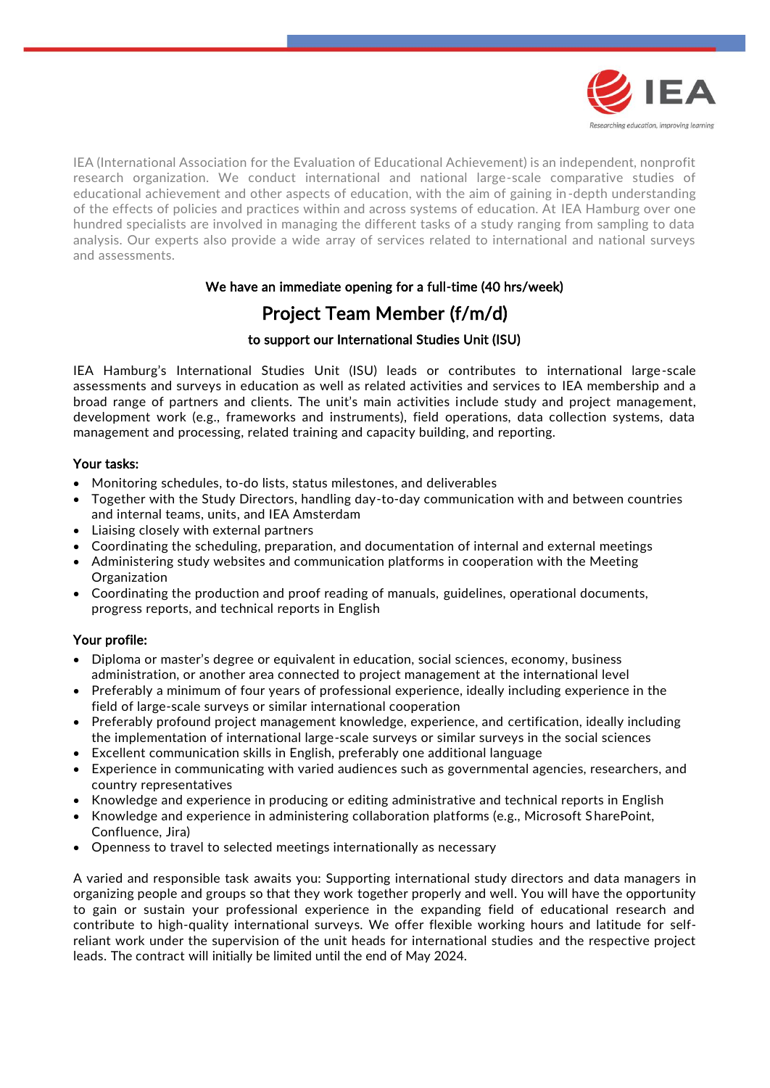

IEA (International Association for the Evaluation of Educational Achievement) is an independent, nonprofit research organization. We conduct international and national large-scale comparative studies of educational achievement and other aspects of education, with the aim of gaining in-depth understanding of the effects of policies and practices within and across systems of education. At IEA Hamburg over one hundred specialists are involved in managing the different tasks of a study ranging from sampling to data analysis. Our experts also provide a wide array of services related to international and national surveys and assessments.

# We have an immediate opening for a full-time (40 hrs/week)

# Project Team Member (f/m/d)

#### to support our International Studies Unit (ISU)

IEA Hamburg's International Studies Unit (ISU) leads or contributes to international large-scale assessments and surveys in education as well as related activities and services to IEA membership and a broad range of partners and clients. The unit's main activities include study and project management, development work (e.g., frameworks and instruments), field operations, data collection systems, data management and processing, related training and capacity building, and reporting.

## Your tasks:

- Monitoring schedules, to-do lists, status milestones, and deliverables
- Together with the Study Directors, handling day-to-day communication with and between countries and internal teams, units, and IEA Amsterdam
- Liaising closely with external partners
- Coordinating the scheduling, preparation, and documentation of internal and external meetings
- Administering study websites and communication platforms in cooperation with the Meeting Organization
- Coordinating the production and proof reading of manuals, guidelines, operational documents, progress reports, and technical reports in English

## Your profile:

- Diploma or master's degree or equivalent in education, social sciences, economy, business administration, or another area connected to project management at the international level
- Preferably a minimum of four years of professional experience, ideally including experience in the field of large-scale surveys or similar international cooperation
- Preferably profound project management knowledge, experience, and certification, ideally including the implementation of international large-scale surveys or similar surveys in the social sciences
- Excellent communication skills in English, preferably one additional language
- Experience in communicating with varied audiences such as governmental agencies, researchers, and country representatives
- Knowledge and experience in producing or editing administrative and technical reports in English
- Knowledge and experience in administering collaboration platforms (e.g., Microsoft SharePoint, Confluence, Jira)
- Openness to travel to selected meetings internationally as necessary

A varied and responsible task awaits you: Supporting international study directors and data managers in organizing people and groups so that they work together properly and well. You will have the opportunity to gain or sustain your professional experience in the expanding field of educational research and contribute to high-quality international surveys. We offer flexible working hours and latitude for selfreliant work under the supervision of the unit heads for international studies and the respective project leads. The contract will initially be limited until the end of May 2024.